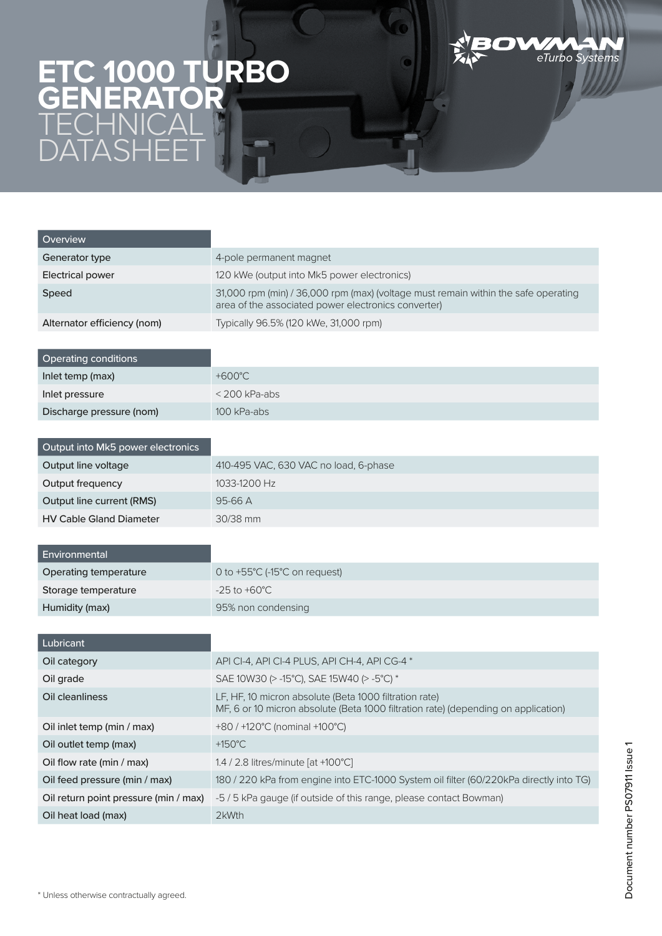## **D TURBO GENERATOR TECHNICAL** DATASHEET



 $\blacksquare$ 

eTurbo Systems

| Operating conditions     |                  |
|--------------------------|------------------|
| Inlet temp (max)         | $+600^{\circ}$ C |
| Inlet pressure           | $<$ 200 kPa-abs  |
| Discharge pressure (nom) | 100 kPa-abs      |

| Output into Mk5 power electronics |                                       |
|-----------------------------------|---------------------------------------|
| Output line voltage               | 410-495 VAC, 630 VAC no load, 6-phase |
| Output frequency                  | 1033-1200 Hz                          |
| Output line current (RMS)         | $95-66A$                              |
| <b>HV Cable Gland Diameter</b>    | $30/38$ mm                            |

| Environmental         |                                                    |
|-----------------------|----------------------------------------------------|
| Operating temperature | 0 to $+55^{\circ}$ C (-15 $^{\circ}$ C on request) |
| Storage temperature   | $-25$ to $+60^{\circ}$ C                           |
| Humidity (max)        | 95% non condensing                                 |

| Lubricant                             |                                                                                                                                              |  |  |
|---------------------------------------|----------------------------------------------------------------------------------------------------------------------------------------------|--|--|
| Oil category                          | API CI-4, API CI-4 PLUS, API CH-4, API CG-4 *                                                                                                |  |  |
| Oil grade                             | SAE 10W30 (> -15°C), SAE 15W40 (> -5°C) *                                                                                                    |  |  |
| Oil cleanliness                       | LF, HF, 10 micron absolute (Beta 1000 filtration rate)<br>MF, 6 or 10 micron absolute (Beta 1000 filtration rate) (depending on application) |  |  |
| Oil inlet temp (min / max)            | +80 / +120 $^{\circ}$ C (nominal +100 $^{\circ}$ C)                                                                                          |  |  |
| Oil outlet temp (max)                 | $+150^{\circ}$ C                                                                                                                             |  |  |
| Oil flow rate (min / max)             | 1.4 / 2.8 litres/minute [at +100°C]                                                                                                          |  |  |
| Oil feed pressure (min / max)         | 180 / 220 kPa from engine into ETC-1000 System oil filter (60/220kPa directly into TG)                                                       |  |  |
| Oil return point pressure (min / max) | -5/5 kPa gauge (if outside of this range, please contact Bowman)                                                                             |  |  |
| Oil heat load (max)                   | 2kWth                                                                                                                                        |  |  |